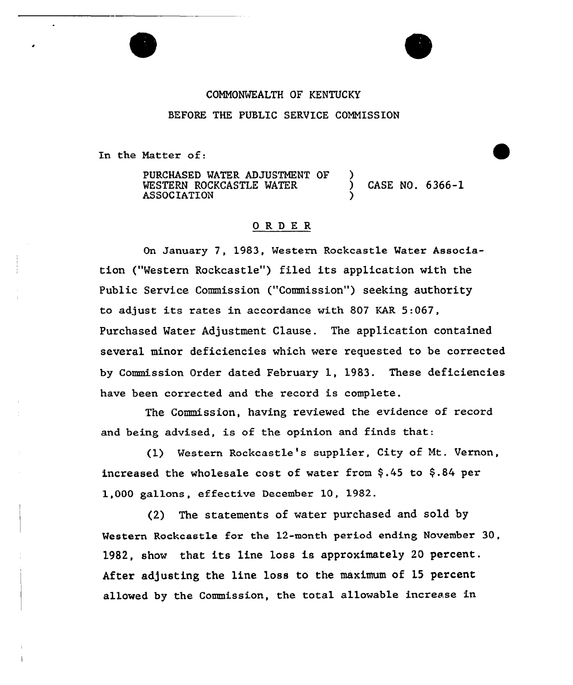# COMMONWEALTH OF KENTUCKY BEFORE THE PUBLIC SERVICE COMMISSION

In the Natter of:

PURCHASED MATER ADJUSTMENT OF WESTERN ROCKCASTLE WATER ASSOCIATION ) ) CASE NO. 6366-1 )

# 0RDE <sup>R</sup>

On January 7, 1983, Mestern Rockcastle Mater Association ("Western Rockcastle") filed its application with the Public Service Commission ("Commission") seeking authority to adjust its rates in accordance with 807 KAR 5:067, Purchased Water Adjustment Clause. The application contained several minor deficiencies which were requested to be corrected by Commission Order dated February 1, 1983. These deficiencies have been corrected and the record is complete.

The Commission, having reviewed the evidence of record and being advised, is of the opinion and finds that:

(1) Western Rockcastle's supplier, City of Mt. Vernon, increased the wholesale cost of water from  $$.45$  to  $$.84$  per 1,000 gallons, effective December 10, 1982.

(2) The statements of water purchased and sold by Mestern Rockcastle for the 12-month period ending November 30, 1982, show that its line loss is approximately <sup>20</sup> percent. After adjusting the line loss to the maximum of 15 percent allowed by the Commission, the total allowable increase in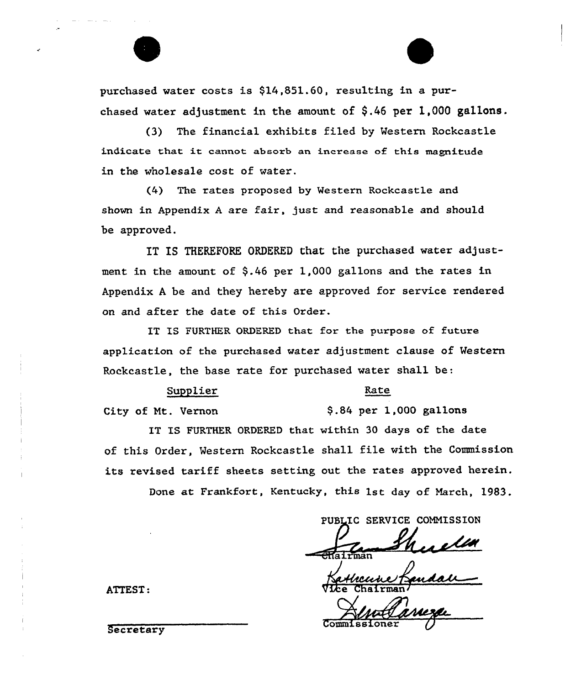purchased water costs is \$14,851.60, resulting in a purchased water adjustment in the amount of \$.46 per 1,000 gallons.

(3) The financial exhibits filed by Western Rockcastle indicate that it cannot absorb an increase of this magnitude in the wholesale cost of water.

(4) The rates proposed by Western Rockcastle and shown in Appendix <sup>A</sup> are fair, just and reasonable and should be approved.

IT IS THEREFORE ORDERED that the purchased water adjustment in the amount of  $$.46$  per 1,000 gallons and the rates in Appendix <sup>A</sup> be and they hereby are approved for service rendered on and after the date of this Order.

IT IS FURTHER ORDERED that for the purpose of future application of the purchased water adjustment clause of Western Rockcastle, the base rate for purchased water shall be:

#### Supplier

### Rate

City of Mt. Vernon

\$ .84 per 1,000 gallons

IT IS FURTHER ORDERED that within 30 days of the date of this Order, Western Rockcastle shall file with the Commission its revised tariff sheets setting out the rates approved herein.

Done at Frankfort, Kentucky, this 1st day of March, 1983.

PUBLIC SERVICE COMMISSION

.iairman

ATTEST: Vice Chairman

Secretary Commissioner